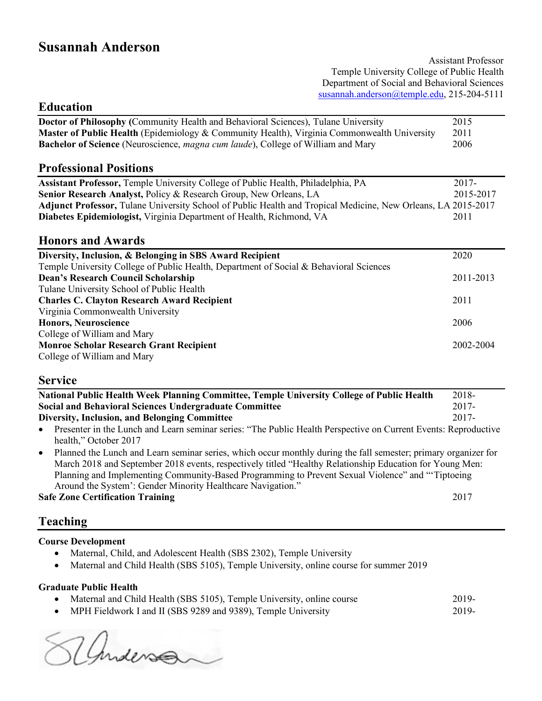# **Susannah Anderson**

**Education**

#### Assistant Professor Temple University College of Public Health Department of Social and Behavioral Sciences susannah.anderson@temple.edu, 215-204-5111

| Doctor of Philosophy (Community Health and Behavioral Sciences), Tulane University                                                                    | 2015      |
|-------------------------------------------------------------------------------------------------------------------------------------------------------|-----------|
| Master of Public Health (Epidemiology & Community Health), Virginia Commonwealth University                                                           | 2011      |
| Bachelor of Science (Neuroscience, magna cum laude), College of William and Mary                                                                      | 2006      |
|                                                                                                                                                       |           |
| <b>Professional Positions</b>                                                                                                                         |           |
| Assistant Professor, Temple University College of Public Health, Philadelphia, PA                                                                     | $2017 -$  |
| Senior Research Analyst, Policy & Research Group, New Orleans, LA                                                                                     | 2015-2017 |
| Adjunct Professor, Tulane University School of Public Health and Tropical Medicine, New Orleans, LA 2015-2017                                         |           |
| Diabetes Epidemiologist, Virginia Department of Health, Richmond, VA                                                                                  | 2011      |
|                                                                                                                                                       |           |
| <b>Honors and Awards</b>                                                                                                                              |           |
| Diversity, Inclusion, & Belonging in SBS Award Recipient                                                                                              | 2020      |
| Temple University College of Public Health, Department of Social & Behavioral Sciences                                                                |           |
| <b>Dean's Research Council Scholarship</b>                                                                                                            | 2011-2013 |
| Tulane University School of Public Health                                                                                                             |           |
| <b>Charles C. Clayton Research Award Recipient</b>                                                                                                    | 2011      |
| Virginia Commonwealth University                                                                                                                      |           |
| <b>Honors, Neuroscience</b>                                                                                                                           | 2006      |
| College of William and Mary                                                                                                                           |           |
| <b>Monroe Scholar Research Grant Recipient</b>                                                                                                        | 2002-2004 |
| College of William and Mary                                                                                                                           |           |
| <b>Service</b>                                                                                                                                        |           |
| National Public Health Week Planning Committee, Temple University College of Public Health                                                            | 2018-     |
| <b>Social and Behavioral Sciences Undergraduate Committee</b>                                                                                         | $2017 -$  |
| <b>Diversity, Inclusion, and Belonging Committee</b>                                                                                                  | 2017-     |
| Presenter in the Lunch and Learn seminar series: "The Public Health Perspective on Current Events: Reproductive<br>$\bullet$<br>health," October 2017 |           |
| • Planned the Lunch and Learn seminar series, which occur monthly during the fall semester; primary organizer for                                     |           |

March 2018 and September 2018 events, respectively titled "Healthy Relationship Education for Young Men: Planning and Implementing Community-Based Programming to Prevent Sexual Violence" and "'Tiptoeing Around the System': Gender Minority Healthcare Navigation." **Safe Zone Certification Training** 2017

### **Teaching**

### **Course Development**

- Maternal, Child, and Adolescent Health (SBS 2302), Temple University
- Maternal and Child Health (SBS 5105), Temple University, online course for summer 2019

### **Graduate Public Health**

- Maternal and Child Health (SBS 5105), Temple University, online course 2019-
- MPH Fieldwork I and II (SBS 9289 and 9389), Temple University 2019-

almanson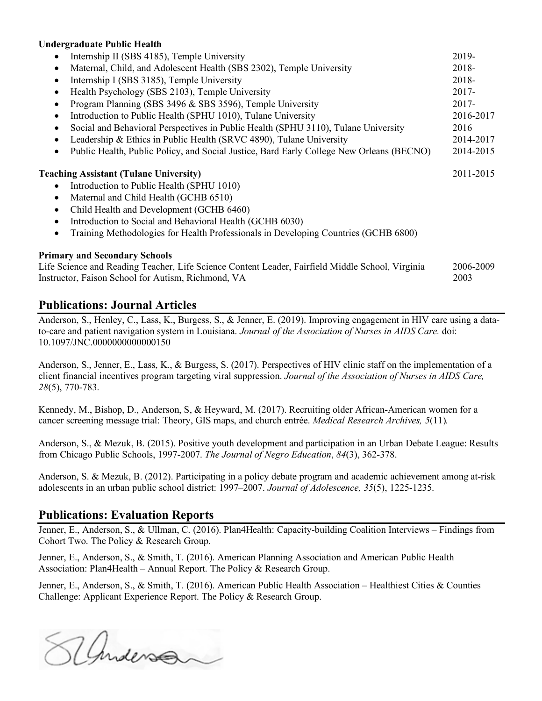#### **Undergraduate Public Health**

| Internship II (SBS 4185), Temple University                                                                                                                                                                                                                                                                                        | 2019-             |
|------------------------------------------------------------------------------------------------------------------------------------------------------------------------------------------------------------------------------------------------------------------------------------------------------------------------------------|-------------------|
| Maternal, Child, and Adolescent Health (SBS 2302), Temple University<br>٠                                                                                                                                                                                                                                                          | 2018-             |
| Internship I (SBS 3185), Temple University                                                                                                                                                                                                                                                                                         | 2018-             |
| Health Psychology (SBS 2103), Temple University                                                                                                                                                                                                                                                                                    | $2017 -$          |
| Program Planning (SBS 3496 & SBS 3596), Temple University<br>$\bullet$                                                                                                                                                                                                                                                             | $2017 -$          |
| Introduction to Public Health (SPHU 1010), Tulane University<br>$\bullet$                                                                                                                                                                                                                                                          | 2016-2017         |
| Social and Behavioral Perspectives in Public Health (SPHU 3110), Tulane University                                                                                                                                                                                                                                                 | 2016              |
| Leadership & Ethics in Public Health (SRVC 4890), Tulane University                                                                                                                                                                                                                                                                | 2014-2017         |
| Public Health, Public Policy, and Social Justice, Bard Early College New Orleans (BECNO)                                                                                                                                                                                                                                           | 2014-2015         |
| <b>Teaching Assistant (Tulane University)</b><br>Introduction to Public Health (SPHU 1010)<br>Maternal and Child Health (GCHB 6510)<br>Child Health and Development (GCHB 6460)<br>Introduction to Social and Behavioral Health (GCHB 6030)<br>Training Methodologies for Health Professionals in Developing Countries (GCHB 6800) | 2011-2015         |
| <b>Primary and Secondary Schools</b><br>Life Science and Reading Teacher, Life Science Content Leader, Fairfield Middle School, Virginia<br>Instructor, Faison School for Autism, Richmond, VA                                                                                                                                     | 2006-2009<br>2003 |

# **Publications: Journal Articles**

Anderson, S., Henley, C., Lass, K., Burgess, S., & Jenner, E. (2019). Improving engagement in HIV care using a datato-care and patient navigation system in Louisiana. *Journal of the Association of Nurses in AIDS Care.* doi: 10.1097/JNC.0000000000000150

Anderson, S., Jenner, E., Lass, K., & Burgess, S. (2017). Perspectives of HIV clinic staff on the implementation of a client financial incentives program targeting viral suppression. *Journal of the Association of Nurses in AIDS Care, 28*(5), 770-783.

Kennedy, M., Bishop, D., Anderson, S, & Heyward, M. (2017). Recruiting older African-American women for a cancer screening message trial: Theory, GIS maps, and church entrée. *Medical Research Archives, 5*(11)*.* 

Anderson, S., & Mezuk, B. (2015). Positive youth development and participation in an Urban Debate League: Results from Chicago Public Schools, 1997-2007. *The Journal of Negro Education*, *84*(3), 362-378.

Anderson, S. & Mezuk, B. (2012). Participating in a policy debate program and academic achievement among at-risk adolescents in an urban public school district: 1997–2007. *Journal of Adolescence, 35*(5), 1225-1235.

# **Publications: Evaluation Reports**

Jenner, E., Anderson, S., & Ullman, C. (2016). Plan4Health: Capacity-building Coalition Interviews – Findings from Cohort Two. The Policy & Research Group.

Jenner, E., Anderson, S., & Smith, T. (2016). American Planning Association and American Public Health Association: Plan4Health – Annual Report. The Policy & Research Group.

Jenner, E., Anderson, S., & Smith, T. (2016). American Public Health Association – Healthiest Cities & Counties Challenge: Applicant Experience Report. The Policy & Research Group.

almensen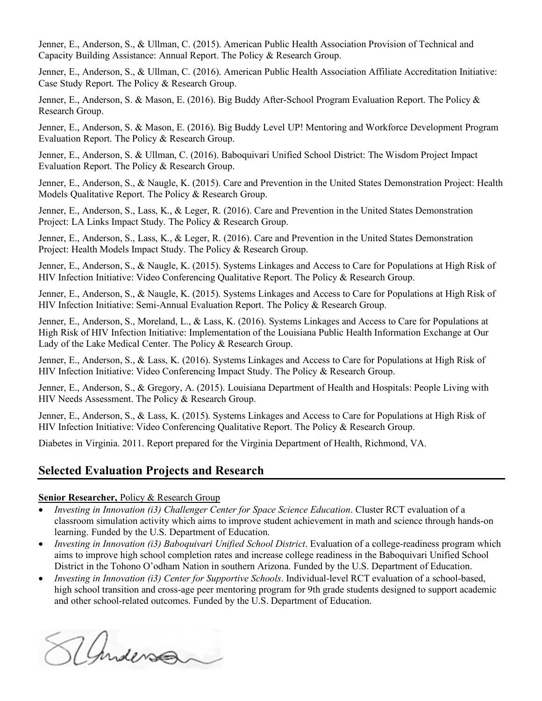Jenner, E., Anderson, S., & Ullman, C. (2015). American Public Health Association Provision of Technical and Capacity Building Assistance: Annual Report. The Policy & Research Group.

Jenner, E., Anderson, S., & Ullman, C. (2016). American Public Health Association Affiliate Accreditation Initiative: Case Study Report. The Policy & Research Group.

Jenner, E., Anderson, S. & Mason, E. (2016). Big Buddy After-School Program Evaluation Report. The Policy & Research Group.

Jenner, E., Anderson, S. & Mason, E. (2016). Big Buddy Level UP! Mentoring and Workforce Development Program Evaluation Report. The Policy & Research Group.

Jenner, E., Anderson, S. & Ullman, C. (2016). Baboquivari Unified School District: The Wisdom Project Impact Evaluation Report. The Policy & Research Group.

Jenner, E., Anderson, S., & Naugle, K. (2015). Care and Prevention in the United States Demonstration Project: Health Models Qualitative Report. The Policy & Research Group.

Jenner, E., Anderson, S., Lass, K., & Leger, R. (2016). Care and Prevention in the United States Demonstration Project: LA Links Impact Study. The Policy & Research Group.

Jenner, E., Anderson, S., Lass, K., & Leger, R. (2016). Care and Prevention in the United States Demonstration Project: Health Models Impact Study. The Policy & Research Group.

Jenner, E., Anderson, S., & Naugle, K. (2015). Systems Linkages and Access to Care for Populations at High Risk of HIV Infection Initiative: Video Conferencing Qualitative Report. The Policy & Research Group.

Jenner, E., Anderson, S., & Naugle, K. (2015). Systems Linkages and Access to Care for Populations at High Risk of HIV Infection Initiative: Semi-Annual Evaluation Report. The Policy & Research Group.

Jenner, E., Anderson, S., Moreland, L., & Lass, K. (2016). Systems Linkages and Access to Care for Populations at High Risk of HIV Infection Initiative: Implementation of the Louisiana Public Health Information Exchange at Our Lady of the Lake Medical Center. The Policy & Research Group.

Jenner, E., Anderson, S., & Lass, K. (2016). Systems Linkages and Access to Care for Populations at High Risk of HIV Infection Initiative: Video Conferencing Impact Study. The Policy & Research Group.

Jenner, E., Anderson, S., & Gregory, A. (2015). Louisiana Department of Health and Hospitals: People Living with HIV Needs Assessment. The Policy & Research Group.

Jenner, E., Anderson, S., & Lass, K. (2015). Systems Linkages and Access to Care for Populations at High Risk of HIV Infection Initiative: Video Conferencing Qualitative Report. The Policy & Research Group.

Diabetes in Virginia. 2011. Report prepared for the Virginia Department of Health, Richmond, VA.

### **Selected Evaluation Projects and Research**

#### **Senior Researcher,** Policy & Research Group

- *Investing in Innovation (i3) Challenger Center for Space Science Education*. Cluster RCT evaluation of a classroom simulation activity which aims to improve student achievement in math and science through hands-on learning. Funded by the U.S. Department of Education.
- *Investing in Innovation (i3) Baboquivari Unified School District*. Evaluation of a college-readiness program which aims to improve high school completion rates and increase college readiness in the Baboquivari Unified School District in the Tohono O'odham Nation in southern Arizona. Funded by the U.S. Department of Education.
- *Investing in Innovation (i3) Center for Supportive Schools*. Individual-level RCT evaluation of a school-based, high school transition and cross-age peer mentoring program for 9th grade students designed to support academic and other school-related outcomes. Funded by the U.S. Department of Education.

Elmenson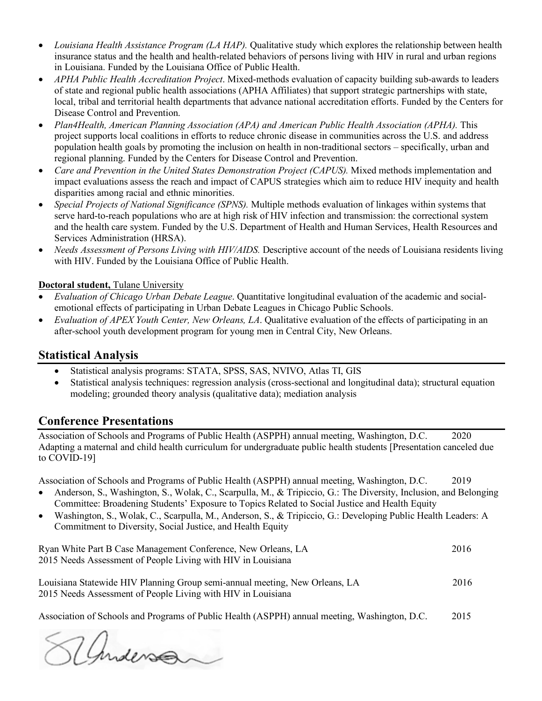- *Louisiana Health Assistance Program (LA HAP).* Qualitative study which explores the relationship between health insurance status and the health and health-related behaviors of persons living with HIV in rural and urban regions in Louisiana. Funded by the Louisiana Office of Public Health.
- *APHA Public Health Accreditation Project*. Mixed-methods evaluation of capacity building sub-awards to leaders of state and regional public health associations (APHA Affiliates) that support strategic partnerships with state, local, tribal and territorial health departments that advance national accreditation efforts. Funded by the Centers for Disease Control and Prevention.
- *Plan4Health, American Planning Association (APA) and American Public Health Association (APHA).* This project supports local coalitions in efforts to reduce chronic disease in communities across the U.S. and address population health goals by promoting the inclusion on health in non-traditional sectors – specifically, urban and regional planning. Funded by the Centers for Disease Control and Prevention.
- *Care and Prevention in the United States Demonstration Project (CAPUS)*. Mixed methods implementation and impact evaluations assess the reach and impact of CAPUS strategies which aim to reduce HIV inequity and health disparities among racial and ethnic minorities.
- *Special Projects of National Significance (SPNS).* Multiple methods evaluation of linkages within systems that serve hard-to-reach populations who are at high risk of HIV infection and transmission: the correctional system and the health care system. Funded by the U.S. Department of Health and Human Services, Health Resources and Services Administration (HRSA).
- *Needs Assessment of Persons Living with HIV/AIDS.* Descriptive account of the needs of Louisiana residents living with HIV. Funded by the Louisiana Office of Public Health.

### **Doctoral student,** Tulane University

- *Evaluation of Chicago Urban Debate League*. Quantitative longitudinal evaluation of the academic and socialemotional effects of participating in Urban Debate Leagues in Chicago Public Schools.
- *Evaluation of APEX Youth Center, New Orleans, LA*. Qualitative evaluation of the effects of participating in an after-school youth development program for young men in Central City, New Orleans.

# **Statistical Analysis**

- Statistical analysis programs: STATA, SPSS, SAS, NVIVO, Atlas TI, GIS
- Statistical analysis techniques: regression analysis (cross-sectional and longitudinal data); structural equation modeling; grounded theory analysis (qualitative data); mediation analysis

# **Conference Presentations**

Association of Schools and Programs of Public Health (ASPPH) annual meeting, Washington, D.C. 2020 Adapting a maternal and child health curriculum for undergraduate public health students [Presentation canceled due to COVID-19]

Association of Schools and Programs of Public Health (ASPPH) annual meeting, Washington, D.C. 2019

- Anderson, S., Washington, S., Wolak, C., Scarpulla, M., & Tripiccio, G.: The Diversity, Inclusion, and Belonging Committee: Broadening Students' Exposure to Topics Related to Social Justice and Health Equity
- Washington, S., Wolak, C., Scarpulla, M., Anderson, S., & Tripiccio, G.: Developing Public Health Leaders: A Commitment to Diversity, Social Justice, and Health Equity

Ryan White Part B Case Management Conference, New Orleans, LA 2016 2015 Needs Assessment of People Living with HIV in Louisiana

Louisiana Statewide HIV Planning Group semi-annual meeting, New Orleans, LA 2016 2015 Needs Assessment of People Living with HIV in Louisiana

Association of Schools and Programs of Public Health (ASPPH) annual meeting, Washington, D.C. 2015

almenson